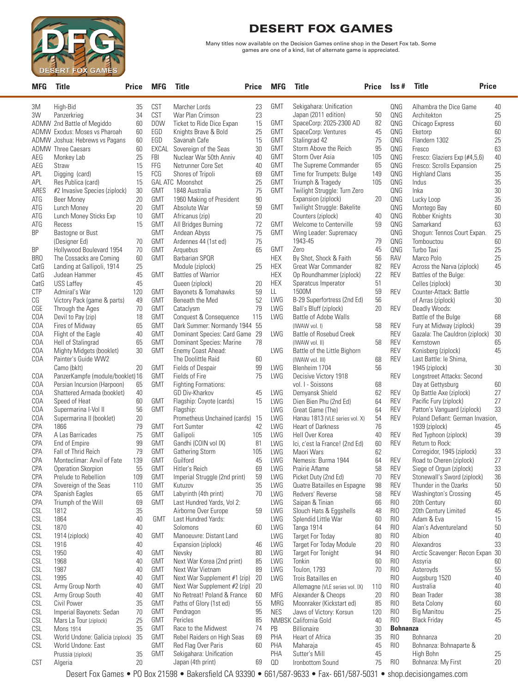

Many titles now available on the Decision Games online shop in the Desert Fox tab. Some games are one of a kind, list of alternate game is appreciated.

| <b>MFG</b> | Title                                           | Price    | <b>MFG</b>               | Title                                   | <b>Price</b> | <b>MFG</b>               | <b>Title</b>                                      | Price     | lss #           | <b>Title</b>                                       | <b>Price</b> |
|------------|-------------------------------------------------|----------|--------------------------|-----------------------------------------|--------------|--------------------------|---------------------------------------------------|-----------|-----------------|----------------------------------------------------|--------------|
| 3M         | High-Bid                                        | 35       | CST                      | Marcher Lords                           | 23           | <b>GMT</b>               | Sekigahara: Unification                           |           | QNG             | Alhambra the Dice Game                             | 40           |
| 3W         | Panzerkrieg                                     | 34       | CST                      | War Plan Crimson                        | 23           |                          | Japan (2011 edition)                              | 50        | QNG             | Architekton                                        | 25           |
|            | ADMW 2nd Battle of Megiddo                      | 60       | <b>DOW</b>               | Ticket to Ride Dice Expan               | 15           | <b>GMT</b>               | SpaceCorp: 2025-2300 AD                           | 82        | QNG             | Chicago Express                                    | 60           |
|            | ADMW Exodus: Moses vs Pharoah                   | 60       | EGD                      | Knights Brave & Bold                    | 25           | <b>GMT</b>               | SpaceCorp: Ventures                               | 45        | QNG             | Eketorp                                            | 60           |
|            | ADMW Joshua: Hebrews vs Pagans                  | 60       | EGD                      | Savanah Cafe                            | 15           | <b>GMT</b>               | Stalingrad 42                                     | 75        | QNG             | Flandern 1302                                      | 25           |
|            | <b>ADMW</b> Three Caesars                       | 60       | EXCAL                    | Sovereign of the Seas                   | 30           | <b>GMT</b>               | Storm Above the Reich                             | 95        | QNG             | Fresco                                             | 63           |
| AEG        | Monkey Lab                                      | 25       | <b>FBI</b><br>FFG        | Nuclear War 50th Anniv                  | 40<br>40     | <b>GMT</b><br><b>GMT</b> | Storm Over Asia<br>The Supreme Commander          | 105<br>65 | QNG<br>QNG      | Fresco: Glaziers Exp (#4,5,6)                      | 40           |
| AEG<br>APL | Straw<br>Digging (card)                         | 15<br>15 | FCG                      | Netrunner Core Set<br>Shores of Tripoli | 69           | <b>GMT</b>               | Time for Trumpets: Bulge                          | 149       | QNG             | Fresco: Scrolls Expansion<br><b>Highland Clans</b> | 25<br>35     |
| APL        | Res Publica (card)                              | 15       |                          | <b>GAL ATC Moonshot</b>                 | 25           | <b>GMT</b>               | Triumph & Tragedy                                 | 105       | QNG             | Indus                                              | 35           |
| ARES       | #2 Invasive Species (ziplock)                   | 30       | <b>GMT</b>               | 1848 Australia                          | 75           | <b>GMT</b>               | Twilight Struggle: Turn Zero                      |           | QNG             | Inka                                               | 30           |
| ATG        | <b>Beer Money</b>                               | 20       | <b>GMT</b>               | 1960 Making of President                | 90           |                          | Expansion (ziplock)                               | 20        | QNG             | Lucky Loop                                         | 35           |
| ATG        | Lunch Money                                     | 20       | GMT                      | Absolute War                            | 59           | <b>GMT</b>               | Twilight Struggle: Bakelite                       |           | QNG             | Montego Bay                                        | 60           |
| ATG        | Lunch Money Sticks Exp                          | 10       | <b>GMT</b>               | Africanus (zip)                         | 20           |                          | Counters (ziplock)                                | 40        | QNG             | Robber Knights                                     | 30           |
| ATG        | Recess                                          | 15       | <b>GMT</b>               | All Bridges Burning                     | 72           | <b>GMT</b>               | Welcome to Centerville                            | 59        | QNG             | Samarkand                                          | 63           |
| <b>BP</b>  | Bastogne or Bust                                |          | <b>GMT</b>               | Andean Abyss                            | 75           | <b>GMT</b>               | Wing Leader: Supremacy                            |           | QNG             | Shogun: Tennos Court Expan.                        | 25           |
|            | (Designer Ed)                                   | 70       | GMT                      | Ardennes 44 (1st ed)                    | 75           |                          | 1943-45                                           | 79        | QNG             | Tombouctou                                         | 60           |
| BP         | Hollywood Boulevard 1954                        | 70       | <b>GMT</b>               | Arquebus                                | 65           | <b>GMT</b>               | Zero                                              | 45        | QNG             | Turbo Taxi                                         | 25           |
| <b>BRO</b> | The Cossacks are Coming                         | 60       | <b>GMT</b>               | <b>Barbarian SPQR</b>                   |              | <b>HEX</b>               | By Shot, Shock & Faith                            | 56        | <b>RAV</b>      | Marco Polo                                         | 25           |
| CatG       | Landing at Gallipoli, 1914                      | 25       |                          | Module (ziplock)                        | 25           | <b>HEX</b>               | Great War Commander                               | 82        | <b>REV</b>      | Across the Narva (ziplock)                         | 45           |
| CatG       | Judean Hammer                                   | 45       | <b>GMT</b>               | <b>Battles of Warrior</b>               |              | <b>HEX</b>               | Op Roundhammer (ziplock)                          | 22        | <b>REV</b>      | Battles of the Bulge:                              |              |
| CatG       | <b>USS Laffey</b>                               | 45       |                          | Queen (ziplock)                         | 20           | <b>HEX</b>               | Sparatcus Imperator                               | 51        |                 | Celles (ziplock)                                   | 30           |
| <b>CTP</b> | Admiral's War                                   | 120      | <b>GMT</b>               | Bayonets & Tomahawks                    | 59           | LL.<br>LWG               | 1500M<br>B-29 Superfortress (2nd Ed)              | 59<br>56  | <b>REV</b>      | Counter-Attack: Battle                             |              |
| CG<br>CGE  | Victory Pack (game & parts)<br>Through the Ages | 49<br>70 | <b>GMT</b><br><b>GMT</b> | Beneath the Med<br>Cataclysm            | 52<br>79     | LWG                      | Ball's Bluff (ziplock)                            | 20        | <b>REV</b>      | of Arras (ziplock)<br>Deadly Woods:                | 30           |
| COA        | Devil to Pay (zip)                              | 18       | <b>GMT</b>               | Conquest & Consequence                  | 115          | LWG                      | Battle of Adobe Walls                             |           |                 | Battle of the Bulge                                | 68           |
| COA        | Fires of Midway                                 | 65       | <b>GMT</b>               | Dark Summer: Normandy 1944 55           |              |                          | (IWAW vol. I)                                     | 58        | <b>REV</b>      | Fury at Midway (ziplock)                           | 39           |
| COA        | Flight of the Eagle                             | 40       | <b>GMT</b>               | Dominant Species: Card Game 29          |              | LWG                      | Battle of Rosebud Creek                           |           | <b>REV</b>      | Gazala: The Cauldron (ziplock)                     | 30           |
| COA        | Hell of Stalingrad                              | 65       | GMT                      | Dominant Species: Marine                | 78           |                          | (IWAW vol. II)                                    | 58        | <b>REV</b>      | Kernstown                                          | 65           |
| COA        | Mighty Midgets (booklet)                        | 30       | <b>GMT</b>               | Enemy Coast Ahead:                      |              | LWG                      | Battle of the Little Bighorn                      |           | <b>REV</b>      | Konisberg (ziplock)                                | 45           |
| COA        | Painter's Guide WW2                             |          |                          | The Doolittle Raid                      | 60           |                          | (IWAW vol. III)                                   | 68        | <b>REV</b>      | Last Battle: le Shima,                             |              |
|            | Camo (bklt)                                     | 20       | <b>GMT</b>               | <b>Fields of Despair</b>                | 99           | LWG                      | Blenheim 1704                                     | 56        |                 | 1945 (ziplock)                                     | 30           |
| COA        | PanzerKampfe (module/booklet) 16                |          | <b>GMT</b>               | Fields of Fire                          | 75           | LWG                      | Decisive Victory 1918                             |           | REV             | Longstreet Attacks: Second                         |              |
| COA        | Persian Incursion (Harpoon)                     | 65       | <b>GMT</b>               | <b>Fighting Formations:</b>             |              |                          | vol. I - Soissons                                 | 68        |                 | Day at Gettysburg                                  | 60           |
| COA        | Shattered Armada (booklet)                      | 40       |                          | GD Div-Kharkov                          | 45           | LWG                      | Demyansk Shield                                   | 62        | <b>REV</b>      | Op Battle Axe (ziplock)                            | 27           |
| COA        | Speed of Heat                                   | 60       | <b>GMT</b>               | Flagship: Coyote (cards)                | 15           | LWG                      | Dien Bien Phu (2nd Ed)                            | 64        | <b>REV</b>      | Pacific Fury (ziplock)                             | 27           |
| COA        | Supermarina I-Vol II                            | 56       | <b>GMT</b>               | Flagship:                               |              | LWG                      | Great Game (The)                                  | 64        | <b>REV</b>      | Patton's Vanguard (ziplock)                        | 33           |
| COA        | Supermarina II (booklet)                        | 20<br>79 |                          | Prometheus Unchained (cards) 15         |              | LWG                      | Hanau 1813 (VLE series vol. X)                    | 54<br>76  | <b>REV</b>      | Poland Defiant: German Invasion,                   |              |
| CPA<br>CPA | 1866<br>A Las Barricades                        | 75       | <b>GMT</b><br><b>GMT</b> | Fort Sumter<br>Gallipoli                | 42<br>105    | LWG<br>LWG               | <b>Heart of Darkness</b>                          |           | <b>REV</b>      | 1939 (ziplock)<br>Red Typhoon (ziplock)            | 45<br>39     |
| CPA        | End of Empire                                   | 99       | <b>GMT</b>               | Gandhi (COIN vol IX)                    | 81           | LWG                      | Hell Over Korea<br>Ici, c'est la France! (2nd Ed) | 40<br>60  | <b>REV</b>      | Return to Rock:                                    |              |
| CPA        | Fall of Thrid Reich                             | 79       | <b>GMT</b>               | <b>Gathering Storm</b>                  | 105          | LWG                      | Maori Wars                                        | 62        |                 | Corregidor, 1945 (ziplock)                         | 33           |
| CPA        | Monteclimar: Anvil of Fate                      | 139      | <b>GMT</b>               | Guilford                                | 45           | LWG                      | Nemesis: Burma 1944                               | 64        | <b>REV</b>      | Road to Cheren (ziplock)                           | 27           |
| CPA        | Operation Skorpion                              | 55       | GMT                      | Hitler's Reich                          | 69           | LWG                      | Prairie Aflame                                    | 58        | <b>REV</b>      | Siege of Orgun (ziplock)                           | 33           |
| CPA        | Prelude to Rebellion                            | 109      | GMT                      | Imperial Struggle (2nd print)           | 59           | LWG                      | Picket Duty (2nd Ed)                              | 70        | <b>REV</b>      | Stonewall's Sword (ziplock)                        | 36           |
| CPA        | Sovereign of the Seas                           | 110      | <b>GMT</b>               | Kutuzov                                 | 35           | LWG                      | Quatre Batailles en Espagne                       | 98        | <b>REV</b>      | Thunder in the Ozarks                              | 50           |
| CPA        | Spanish Eagles                                  | 65       | <b>GMT</b>               | Labyrinth (4th print)                   | 70           | LWG                      | Redvers' Reverse                                  | 58        | <b>REV</b>      | Washington's Crossing                              | 45           |
| CPA        | Triumph of the Will                             | 69       | <b>GMT</b>               | Last Hundred Yards, Vol 2:              |              | LWG                      | Saipan & Tinian                                   | 66        | RIO             | 20th Century                                       | 60           |
| CSL        | 1812                                            | 35       |                          | Airborne Over Europe                    | 59           | LWG                      | Slouch Hats & Eggshells                           | 48        | RIO             | 20th Century Limited                               | 45           |
| CSL        | 1864                                            | 40       | <b>GMT</b>               | Last Hundred Yards:                     |              | LWG                      | Splendid Little War                               | 60        | RIO             | Adam & Eva                                         | 15           |
| CSL        | 1870                                            | 40       |                          | Solomons                                | 60           | LWG                      | Tanga 1914                                        | 64        | RIO             | Alan's Adventureland                               | 50           |
| CSL        | 1914 (ziplock)                                  | 40       | <b>GMT</b>               | Manoeuvre: Distant Land                 |              | LWG                      | <b>Target For Today</b>                           | 80        | RIO             | Albion                                             | 40           |
| CSL        | 1916                                            | 40       |                          | Expansion (ziplock)                     | 46           | LWG                      | <b>Target For Today Module</b>                    | 20        | RIO             | Alexandros                                         | 33           |
| CSL<br>CSL | 1950<br>1968                                    | 40<br>40 | <b>GMT</b><br>GMT        | Nevsky<br>Next War Korea (2nd print)    | 80<br>85     | LWG<br>LWG               | <b>Target For Tonight</b><br>Tonkin               | 94<br>60  | RIO<br>RIO      | Arctic Scavenger: Recon Expan 30<br>Assyria        | 60           |
| CSL        | 1987                                            | 40       | <b>GMT</b>               | Next War Vietnam                        | 89           | LWG                      | Toulon, 1793                                      | 70        | RIO             | Asteroyds                                          | 55           |
| CSL        | 1995                                            | 40       | GMT                      | Next War Supplement #1 (zip)            | 20           | LWG                      | Trois Batailles en                                |           | RIO             | Augsburg 1520                                      | 40           |
| CSL        | Army Group North                                | 40       | <b>GMT</b>               | Next War Supplement #2 (zip)            | 20           |                          | Allemagne (VLE series vol. IX)                    | 110       | RIO             | Australia                                          | 40           |
| CSL        | Army Group South                                | 40       | GMT                      | No Retreat! Poland & France             | 60           | MFG                      | Alexander & Cheops                                | 20        | RIO             | Bean Trader                                        | 38           |
| CSL        | Civil Power                                     | 35       | <b>GMT</b>               | Paths of Glory (1st ed)                 | 55           | <b>MRG</b>               | Moonraker (Kickstart ed)                          | 85        | RIO             | <b>Beta Colony</b>                                 | 60           |
| CSL        | Imperial Bayonets: Sedan                        | 70       | <b>GMT</b>               | Pendragon                               | 95           | <b>NES</b>               | Jaws of Victory: Korsun                           | 120       | RIO             | <b>Big Manitou</b>                                 | 25           |
| CSL        | Mars La Tour (ziplock)                          | 25       | GMT                      | Pericles                                | 85           |                          | NMBSK California Gold                             | 40        | RI <sub>0</sub> | <b>Black Friday</b>                                | 45           |
| CSL        | <b>Mons 1914</b>                                | 35       | <b>GMT</b>               | Race to the Midwest                     | 74           | PB                       | <b>Billionaire</b>                                | 30        | <b>Bohnanza</b> |                                                    |              |
| CSL        | World Undone: Galicia (ziplock)                 | 35       | GMT                      | Rebel Raiders on High Seas              | 69           | PHA                      | Heart of Africa                                   | 35        | RIO             | Bohnanza                                           | 20           |
| CSL        | World Undone: East                              |          | <b>GMT</b>               | Red Flag Over Paris                     | 60           | PHA                      | Maharaja                                          | 45        | RI <sub>0</sub> | Bohnanza: Bohnaparte &                             |              |
|            | Prussia (ziplock)                               | 35       | <b>GMT</b>               | Sekigahara: Unification                 |              | PHA                      | Sutter's Mill                                     | 45        |                 | High Bohn                                          | 25           |
| CST        | Algeria                                         | 20       |                          | Japan (4th print)                       | 69           | QD<br>$24 \times 27$     | Ironbottom Sound<br>$\blacksquare$                | 75        | RIO             | Bohnanza: My First                                 | 20           |

Desert Fox Games • PO Box 21598 • Bakersfield CA 93390 • 661/587-9633 • Fax- 661/587-5031 • shop.decisiongames.com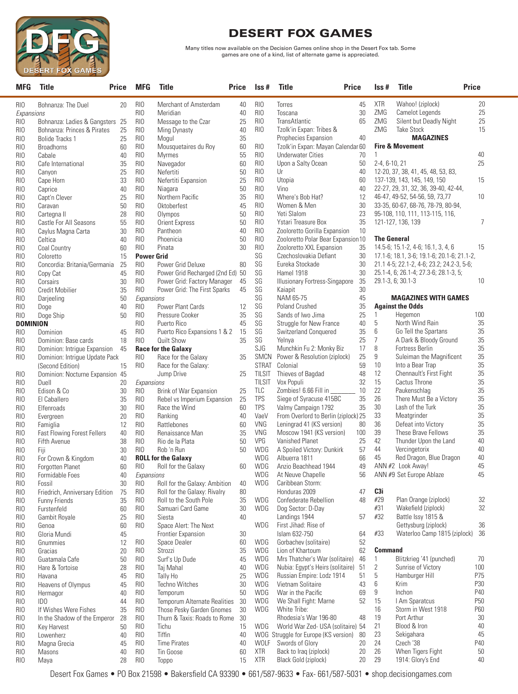

Many titles now available on the Decision Games online shop in the Desert Fox tab. Some games are one of a kind, list of alternate game is appreciated.

| <b>MFG</b>             | <b>Title</b>                             | <b>Price</b> | <b>MFG</b>                         | <b>Title</b>                        | <b>Price</b> | Iss #                  | <b>Title</b><br><b>Price</b>              |          | Iss#               | <b>Title</b>                                                          | <b>Price</b>    |
|------------------------|------------------------------------------|--------------|------------------------------------|-------------------------------------|--------------|------------------------|-------------------------------------------|----------|--------------------|-----------------------------------------------------------------------|-----------------|
| RIO                    | Bohnanza: The Duel                       | 20           | RIO                                | Merchant of Amsterdam               | 40           | RIO                    | Torres                                    | 45       | <b>XTR</b>         | Wahoo! (ziplock)                                                      | 20              |
| Expansions             |                                          |              | RI <sub>0</sub>                    | Meridian                            | 40           | RI <sub>0</sub>        | Toscana                                   | 30       | ZMG                | Camelot Legends                                                       | 25              |
| RIO                    | Bohnanza: Ladies & Gangsters 25          |              | RI <sub>0</sub>                    | Message to the Czar                 | 25           | RIO                    | <b>TransAtlantic</b>                      | 65       | ZMG                | Silent but Deadly Night                                               | 25              |
| RI <sub>0</sub>        | Bohnanza: Princes & Pirates              | 25           | <b>RIO</b>                         | Ming Dynasty                        | 40           | RIO                    | Tzolk'in Expan: Tribes &                  |          | ZMG                | <b>Take Stock</b>                                                     | 15              |
| RI <sub>0</sub>        | Bolide Tracks 1                          | 25           | RIO                                | Mogul                               | 35           |                        | Prophecies Expansion                      | 40       |                    | <b>MAGAZINES</b>                                                      |                 |
| RI <sub>0</sub>        | <b>Broadhorns</b>                        | 60           | RI <sub>0</sub>                    | Mousquetaires du Roy                | 60           | RIO                    | Tzolk'in Expan: Mayan Calendar 60         |          |                    | <b>Fire &amp; Movement</b>                                            |                 |
| RI <sub>0</sub>        | Cabale                                   | 40           | RI <sub>0</sub>                    | Myrmes                              | 55           | RIO                    | <b>Underwater Cities</b>                  | 70       | 1                  |                                                                       | 40              |
| RI <sub>0</sub>        | Cafe International                       | 35           | RI <sub>0</sub>                    | Navegador                           | 60           | RI <sub>0</sub>        | Upon a Salty Ocean                        | 50       | 2-4, 6-10, 21      |                                                                       | 25              |
| RI <sub>0</sub>        | Canyon                                   | 25           | RI <sub>0</sub>                    | Nefertiti                           | 50           | RIO                    | Ur                                        | 40       |                    | 12-20, 37, 38, 41, 45, 48, 53, 83,                                    |                 |
| RI <sub>0</sub>        | Cape Horn                                | 33           | RIO                                | Nefertiti Expansion                 | 25           | RI <sub>0</sub>        | Utopia                                    | 60       |                    | 137-139, 143, 145, 149, 150                                           | 15              |
| RI <sub>0</sub>        | Caprice                                  | 40           | <b>RIO</b>                         | Niagara                             | 50           | RI <sub>0</sub>        | Vino                                      | 40       |                    | 22-27, 29, 31, 32, 36, 39-40, 42-44,                                  |                 |
| RI <sub>0</sub>        | Capt'n Clever                            | 25           | RI <sub>0</sub>                    | Northern Pacific                    | 35           | RI <sub>0</sub>        | Where's Bob Hat?                          | 12       |                    | 46-47, 49-52, 54-56, 59, 73, 77                                       | 10              |
| RI <sub>0</sub>        | Caravan                                  | 50           | RI <sub>0</sub><br>RI <sub>0</sub> | Oktoberfest<br>Olympos              | 45           | RIO<br>RI <sub>0</sub> | Women & Men<br>Yeti Slalom                | 30<br>23 |                    | 33-35, 60-67, 68-76, 78-79, 80-94,<br>95-108, 110, 111, 113-115, 116, |                 |
| RIO<br>RI <sub>0</sub> | Cartegna II<br>Castle For All Seasons    | 28<br>55     | RI <sub>0</sub>                    | <b>Orient Express</b>               | 50<br>50     | RIO                    | Ystari Treasure Box                       | 35       |                    | 121-127, 136, 139                                                     | 7               |
| RI <sub>0</sub>        |                                          | 30           | RI <sub>0</sub>                    | Pantheon                            | 40           | RI <sub>0</sub>        | Zooloretto Gorilla Expansion              | 10       |                    |                                                                       |                 |
| RI <sub>0</sub>        | Caylus Magna Carta<br>Celtica            | 40           | <b>RIO</b>                         | Phoenicia                           | 50           | RI <sub>0</sub>        | Zooloretto Polar Bear Expansion 10        |          | <b>The General</b> |                                                                       |                 |
| RI <sub>0</sub>        | Coal Country                             | 60           | RIO                                | Pinata                              | 30           | RI <sub>0</sub>        | Zooloretto XXL Expansion                  | 35       |                    | 14.5-6; 15.1-2, 4-6; 16.1, 3, 4, 6                                    | 15              |
| RI <sub>0</sub>        | Coloretto                                | 15           | <b>Power Grid</b>                  |                                     |              | SG                     | Czechoslovakia Defiant                    | 30       |                    | 17.1-6; 18.1, 3-6; 19.1-6; 20.1-6; 21.1-2,                            |                 |
| RI <sub>0</sub>        | Concordia: Britania/Germania             | 25           | RI <sub>0</sub>                    | Power Grid Deluxe                   | 80           | SG                     | Eureka Stockade                           | 30       |                    | 21.1 4-5; 22.1-2, 4-6; 23.2; 24.2-3, 5-6;                             |                 |
| RI <sub>0</sub>        | Copy Cat                                 | 45           | RIO                                | Power Grid Recharged (2nd Ed) 50    |              | SG                     | Hamel 1918                                | 30       |                    | 25.1-4, 6; 26.1-4; 27.3-6; 28.1-3, 5;                                 |                 |
| RI <sub>0</sub>        | Corsairs                                 | 30           | RIO                                | Power Grid: Factory Manager         | 45           | SG                     | <b>Illusionary Fortress-Singapore</b>     | 35       |                    | 29.1-3, 6; 30.1-3                                                     | 10              |
| RI <sub>0</sub>        | <b>Credit Mobilier</b>                   | 35           | <b>RIO</b>                         | Power Grid: The First Sparks        | 45           | SG                     | Kaiapit                                   | 30       |                    |                                                                       |                 |
| RI <sub>0</sub>        | Darjeeling                               | 50           | Expansions                         |                                     |              | SG                     | NAM 65-75                                 | 45       |                    | <b>MAGAZINES WITH GAMES</b>                                           |                 |
| RIO                    | Doge                                     | 40           | RIO                                | Power Plant Cards                   | 12           | SG                     | Poland Crushed                            | 35       |                    | <b>Against the Odds</b>                                               |                 |
| RIO                    | Doge Ship                                | 50           | <b>RIO</b>                         | Pressure Cooker                     | 35           | SG                     | Sands of Iwo Jima                         | 25       | $\mathbf{1}$       | Hegemon                                                               | 100             |
| <b>DOMINION</b>        |                                          |              | RI <sub>0</sub>                    | Puerto Rico                         | 45           | SG                     | Struggle for New France                   | 40       | 5                  | North Wind Rain                                                       | 35              |
| RI <sub>0</sub>        | Dominion                                 | 45           | RIO                                | Puerto Rico Expansions 1 & 2        | 15           | SG                     | Switzerland Conquered                     | 35       | 6                  | Go Tell the Spartans                                                  | 35              |
| RI <sub>0</sub>        | Dominion: Base cards                     | 18           | RI <sub>0</sub>                    | <b>Quilt Show</b>                   | 35           | SG                     | Yelnya                                    | 25       | $\overline{7}$     | A Dark & Bloody Ground                                                | 35              |
| RIO                    | Dominion: Intrigue Expansion             | 45           |                                    | <b>Race for the Galaxy</b>          |              | SJG                    | Munchkin Fu 2: Monky Biz                  | 17       | 8                  | Fortress Berlin                                                       | 35              |
| RI <sub>0</sub>        | Dominion: Intrigue Update Pack           |              | RI <sub>0</sub>                    | Race for the Galaxy                 | 35           | <b>SMCN</b>            | Power & Resolution (ziplock)              | 25       | 9                  | Suleiman the Magnificent                                              | 35              |
|                        | (Second Edition)                         | 15           | RI <sub>0</sub>                    | Race for the Galaxy:                |              | <b>STRAT</b>           | Colonial                                  | 59       | 10                 | Into a Bear Trap                                                      | 35              |
| RIO                    | Dominion: Nocturne Expansion 45          |              |                                    | Jump Drive                          | 25           | <b>TILSIT</b>          | Thieves of Bagdad                         | 48       | 12                 | Chennault's First Fight                                               | 35              |
| RI <sub>0</sub>        | Duell                                    | 20           | Expansions                         |                                     |              | <b>TILSIT</b>          | Vox Populi                                | 32       | 15                 | Cactus Throne                                                         | 35              |
| RI <sub>0</sub>        | Edison & Co                              | 30           | RIO                                | Brink of War Expansion              | 25           | <b>TLC</b>             | Zombies! 6.66 Fill in                     | 10       | 22                 | Paukenschlag                                                          | 35              |
| RI <sub>0</sub>        | El Caballero                             | 35           | RIO                                | Rebel vs Imperium Expansion         | 25           | <b>TPS</b>             | Siege of Syracuse 415BC                   | 35       | 26                 | There Must Be a Victory                                               | 35              |
| RIO                    | Elfenroads                               | 30           | RI <sub>0</sub>                    | Race the Wind                       | 60           | <b>TPS</b>             | Valmy Campaign 1792                       | 35       | $30\,$             | Lash of the Turk                                                      | 35              |
| RIO                    | Evergreen                                | 20           | RI <sub>0</sub>                    | Ranking                             | 40           | VaeV                   | From Overlord to Berlin (ziplock) 25      |          | 33                 | Meatgrinder                                                           | 35              |
| RIO                    | Famiglia                                 | 12           | RI <sub>0</sub>                    | Rattlebones                         | 60           | VNG                    | Leningrad 41 (KS version)                 | 80       | 36                 | Defeat into Victory                                                   | 35              |
| RI <sub>0</sub>        | <b>Fast Flowing Forest Fellers</b>       | 40           | RI <sub>0</sub>                    | Renaissance Man                     | 35           | VNG                    | Moscow 1941 (KS version)                  | 100      | 39                 | These Brave Fellows                                                   | 35              |
| RI <sub>0</sub>        | <b>Fifth Avenue</b>                      | 38           | RI <sub>0</sub>                    | Rio de la Plata                     | 50           | VPG                    | Vanished Planet                           | 25       | 42                 | Thunder Upon the Land                                                 | 40              |
| RIO                    | Fiji                                     | 30           | RIO                                | Rob 'n Run                          | 50           | WDG                    | A Spoiled Victory: Dunkirk                | 57       | 44                 | Vercingetorix                                                         | 40              |
| RI <sub>0</sub>        | For Crown & Kingdom                      | 40           |                                    | <b>ROLL for the Galaxy</b>          |              | WDG                    | Albuerra 1811                             | 66       | 45                 | Red Dragon, Blue Dragon                                               | 40              |
| RI <sub>0</sub>        | Forgotten Planet                         | 60           | RI <sub>0</sub>                    | Roll for the Galaxy                 | 60           | WDG<br>WDG             | Anzio Beachhead 1944<br>At Neuve Chapelle | 49<br>56 |                    | ANN #2 Look Away!<br>ANN #9 Set Europe Ablaze                         | 45<br>45        |
| RIO                    | Formidable Foes                          | 40           | Expansions                         | Roll for the Galaxy: Ambition       |              | WDG                    |                                           |          |                    |                                                                       |                 |
| RIO                    | Fossil<br>Friedrich, Anniversary Edition | 30<br>75     | <b>RIO</b><br>RIO                  | Roll for the Galaxy: Rivalry        | 40<br>80     |                        | Caribbean Storm:<br>Honduras 2009         | 47       | C3i                |                                                                       |                 |
| RIO<br>RIO             | <b>Funny Friends</b>                     | 35           | RIO                                | Roll to the South Pole              | 35           | WDG                    | Confederate Rebellion                     | 48       | #29                | Plan Orange (ziplock)                                                 | 32              |
| RIO                    | Furstenfeld                              | 60           | RIO                                | Samuari Card Game                   | 30           | <b>WDG</b>             | Dog Sector: D-Day                         |          | #31                | Wakefield (ziplock)                                                   | 32              |
| RIO                    | Gambit Royale                            | 25           | RIO                                | Siesta                              | 40           |                        | Landings 1944                             | 57       | #32                | Battle Issy 1815 &                                                    |                 |
| RIO                    | Genoa                                    | 60           | RI <sub>0</sub>                    | Space Alert: The Next               |              | WDG                    | First Jihad: Rise of                      |          |                    | Gettysburg (ziplock)                                                  | 36              |
| RIO                    | Gloria Mundi                             | 45           |                                    | Frontier Expansion                  | 30           |                        | Islam 632-750                             | 64       | #33                | Waterloo Camp 1815 (ziplock)                                          | 36              |
| RIO                    | Gnummies                                 | 12           | RIO                                | Space Dealer                        | 60           | WDG                    | Gorbachev (solitaire)                     | 52       |                    |                                                                       |                 |
| RIO                    | Gracias                                  | 20           | RIO                                | Strozzi                             | 35           | <b>WDG</b>             | Lion of Khartoum                          | 62       | <b>Command</b>     |                                                                       |                 |
| RIO                    | Guatamala Cafe                           | 50           | RIO                                | Surf's Up Dude                      | 45           | WDG                    | Mrs Thatcher's War (solitaire)            | 46       | 1                  | Blitzkrieg '41 (punched)                                              | 70              |
| RIO                    | Hare & Tortoise                          | 28           | RIO                                | Taj Mahal                           | 40           | <b>WDG</b>             | Nubia: Egypt's Heirs (solitaire)          | 51       | 2                  | Sunrise of Victory                                                    | 100             |
| RIO                    | Havana                                   | 45           | RIO                                | Tally Ho                            | 25           | WDG                    | Russian Empire: Lodz 1914                 | 51       | 5                  | Hamburger Hill                                                        | P75             |
| RIO                    | Heavens of Olympus                       | 45           | RIO                                | Techno Witches                      | 30           | WDG                    | Vietnam Solitaire                         | 43       | 6                  | Krim                                                                  | P30             |
| RI <sub>0</sub>        | Hermagor                                 | 40           | RI <sub>0</sub>                    | Temporum                            | 50           | <b>WDG</b>             | War in the Pacific                        | 69       | 9                  | Inchon                                                                | P40             |
| RIO                    | ID <sub>0</sub>                          | 44           | RIO                                | <b>Temporum Alternate Realities</b> | 30           | WDG                    | We Shall Fight: Marne                     | 52       | 15                 | I Am Sparatcus                                                        | P <sub>50</sub> |
| RIO                    | If Wishes Were Fishes                    | 35           | RI <sub>0</sub>                    | Those Pesky Garden Gnomes           | 30           | <b>WDG</b>             | White Tribe:                              |          | 16                 | Storm in West 1918                                                    | P60             |
| RIO                    | In the Shadow of the Emperor             | 28           | RIO                                | Thurn & Taxis: Roads to Rome        | 30           |                        | Rhodesia's War 196-80                     | 48       | 19                 | Port Arthur                                                           | 30              |
| RIO                    | Key Harvest                              | 50           | RIO                                | Tichu                               | 15           | WDG                    | World War Zed- USA (solitaire) 54         |          | 21                 | Blood & Iron                                                          | 40              |
| RI <sub>0</sub>        | Lowenherz                                | 40           | RIO                                | Tiffin                              | 40           |                        | WOG Struggle for Europe (KS version)      | 80       | 23                 | Sekigahara                                                            | 45              |
| RIO                    | Magna Grecia                             | 45           | RIO                                | <b>Time Pirates</b>                 | 40           | WOLF                   | Swords of Glory                           | 20       | 24                 | Czech '38                                                             | P40             |
| RIO                    | Masons                                   | 40           | RIO                                | Tin Goose                           | 60           | XTR                    | Back to Iraq (ziplock)                    | 20       | 26                 | When Tigers Fight                                                     | 50              |
| RIO                    | Maya                                     | 28           | RIO                                | Toppo                               | 15           | <b>XTR</b>             | Black Gold (ziplock)                      | 20       | 29                 | 1914: Glory's End                                                     | 40              |

Desert Fox Games • PO Box 21598 • Bakersfield CA 93390 • 661/587-9633 • Fax- 661/587-5031 • shop.decisiongames.com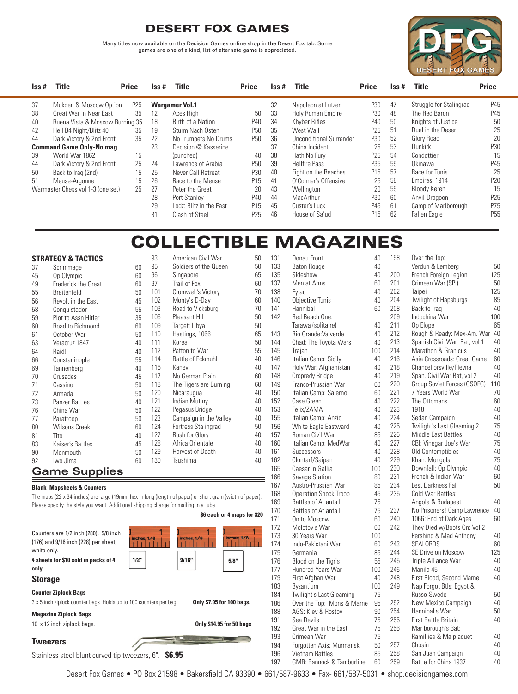Many titles now available on the Decision Games online shop in the Desert Fox tab. Some games are one of a kind, list of alternate game is appreciated.



| $\mathsf{lss}$ # | Title                             | <b>Price</b> | Iss # | <b>Title</b>            | <b>Price</b>    | Iss # | <b>Title</b>                   | <b>Price</b>    | $\textsf{lss}\,\#$ | <b>Title</b>            | <b>Price</b>    |
|------------------|-----------------------------------|--------------|-------|-------------------------|-----------------|-------|--------------------------------|-----------------|--------------------|-------------------------|-----------------|
| 37               | Mukden & Moscow Option            | P25          |       | <b>Wargamer Vol.1</b>   |                 | 32    | Napoleon at Lutzen             | P30             | -47                | Struggle for Stalingrad | P45             |
| 38               | Great War in Near East            | 35           | 12    | Aces High               | 50              | 33    | Holy Roman Empire              | P30             | 48                 | The Red Baron           | P45             |
| 40               | Buena Vista & Moscow Burning 35   |              | 18    | Birth of a Nation       | P40             | 34    | Khyber Rifles                  | P40             | 50                 | Knights of Justice      | 50              |
| 42               | Hell B4 Night/Blitz 40            | 35           | 19    | Sturm Nach Osten        | P <sub>50</sub> | 35    | West Wall                      | P25             | 51                 | Duel in the Desert      | 25              |
| 44               | Dark Victory & 2nd Front          | 35           | 22    | No Trumpets No Drums    | P <sub>50</sub> | 36    | <b>Unconditional Surrender</b> | P30             | 52                 | Glory Road              | 20              |
|                  | <b>Command Game Only-No mag</b>   |              | 23    | Decision @ Kasserine    |                 | 37    | China Incident                 | 25              | 53                 | Dunkirk                 | P30             |
| 39               | World War 1862                    | 15           |       | (punched)               | 40              | 38    | Hath No Fury                   | P25             | 54                 | Condottieri             | 15              |
| 44               | Dark Victory & 2nd Front          | 25           | 24    | Lawrence of Arabia      | P <sub>50</sub> | 39    | <b>Hellfire Pass</b>           | P35             | 55                 | Okinawa                 | P45             |
| 50               | Back to Iraq (2nd)                | 15           | 25    | Never Call Retreat      | P30             | 40    | Fight on the Beaches           | P <sub>15</sub> | 57                 | Race for Tunis          | 25              |
| 51               | Meuse-Argonne                     | 15           | 26    | Race to the Meuse       | P <sub>15</sub> | 41    | O'Conner's Offensive           | 25              | 58                 | Empires: 1914           | P20             |
|                  | Warmaster Chess vol 1-3 (one set) | 25           | 27    | Peter the Great         | 20              | 43    | Wellington                     | 20              | 59                 | Bloody Keren            | 15              |
|                  |                                   |              | 28    | Port Stanley            | P40             | 44    | MacArthur                      | P30             | 60                 | Anvil-Dragoon           | P25             |
|                  |                                   |              | 29    | Lodz: Blitz in the East | P <sub>15</sub> | 45    | Custer's Luck                  | P45             | 61                 | Camp of Marlborough     | P75             |
|                  |                                   |              | 31    | Clash of Steel          | P <sub>25</sub> | 46    | House of Sa'ud                 | P <sub>15</sub> | 62                 | <b>Fallen Eagle</b>     | P <sub>55</sub> |

# COLLECTIBLE MAGAZINES

### **STRATEGY & TACTICS**

|    | <b>STRATEGY &amp; TACTICS</b> |    | 93  | American Civil War     | 50 | 131 | Donau Fro        |
|----|-------------------------------|----|-----|------------------------|----|-----|------------------|
| 37 | Scrimmage                     | 60 | 95  | Soldiers of the Queen  | 50 | 133 | <b>Baton Rou</b> |
| 45 | Op Olympic                    | 60 | 96  | Singapore              | 65 | 135 | Sideshow         |
| 49 | Frederick the Great           | 60 | 97  | Trail of Fox           | 60 | 137 | Men at Ar        |
| 55 | Breitenfeld                   | 50 | 101 | Cromwell's Victory     | 70 | 138 | Eylau            |
| 56 | Revolt in the East            | 45 | 102 | Monty's D-Day          | 60 | 140 | Objective        |
| 58 | Conquistador                  | 55 | 103 | Road to Vicksburg      | 70 | 141 | Hannibal         |
| 59 | Plot to Assn Hitler           | 35 | 106 | Pleasant Hill          | 50 | 142 | <b>Red Beach</b> |
| 60 | Road to Richmond              | 60 | 109 | Target: Libya          | 50 |     | Tarawa (so       |
| 61 | October War                   | 50 | 110 | Hastings, 1066         | 65 | 143 | Rio Grand        |
| 63 | Veracruz 1847                 | 40 | 111 | Korea                  | 50 | 144 | Chad: The        |
| 64 | Raid!                         | 40 | 112 | Patton to War          | 55 | 145 | Trajan           |
| 66 | Constaninople                 | 55 | 114 | Battle of Eckmuhl      | 40 | 146 | Italian Car      |
| 69 | Tannenberg                    | 40 | 115 | Kanev                  | 40 | 147 | Holy War:        |
| 70 | Crusades                      | 45 | 117 | No German Plain        | 60 | 148 | Cropredy I       |
| 71 | Cassino                       | 50 | 118 | The Tigers are Burning | 60 | 149 | Franco-Pru       |
| 72 | Armada                        | 50 | 120 | Nicaraugua             | 40 | 150 | Italian Car      |
| 73 | <b>Panzer Battles</b>         | 40 | 121 | Indian Mutiny          | 40 | 152 | Case Gree        |
| 76 | China War                     | 50 | 122 | Pegasus Bridge         | 40 | 153 | Felix/ZAN        |
| 77 | Paratroop                     | 50 | 123 | Campaign in the Valley | 40 | 155 | Italian Car      |
| 80 | <b>Wilsons Creek</b>          | 60 | 124 | Fortress Stalingrad    | 50 | 156 | White Eag        |
| 81 | Tito                          | 40 | 127 | Rush for Glory         | 40 | 157 | Roman Civ        |
| 83 | Kaiser's Battles              | 45 | 128 | Africa Orientale       | 40 | 160 | Italian Car      |
| 90 | Monmouth                      | 50 | 129 | Harvest of Death       | 40 | 161 | Successor        |
| 92 | Iwo Jima                      | 60 | 130 | Tsushima               | 40 | 162 | Clontarf/S       |
|    | <b>Game Supplies</b>          |    |     |                        |    | 165 | Caesar in        |
|    |                               |    |     |                        |    | 100 | $0 - 2 - 0$      |

#### **Blank Mapsheets & Counters**

The maps (22 x 34 inches) are large (19mm) hex in long (length of paper) or short grain (width of paper). Please specify the style you want. Additional shipping charge for mailing in a tube.

Counters are 1/2 inch (280), 5/8 inch  $rches 1/8$ (176) and 9/16 inch (228) per sheet; white only. **4 sheets for \$10 sold in packs of 4**   $1/2"$  $9/16"$  $5/8"$ **only. Storage Counter Ziplock Bags** 3 x 5 inch ziplock counter bags. Holds up to 100 counters per bag. **Only \$7.95 for 100 bags. Magazine Ziplock Bags** 10 x 12 inch ziplock bags. **Only \$14.95 for 50 bags Tweezers** Stainless steel blunt curved tip tweezers, 6". **\$6.95**

| 131 | Donau Front                          | 40  | 198 | Over the Top:                  |     |
|-----|--------------------------------------|-----|-----|--------------------------------|-----|
| 133 | <b>Baton Rouge</b>                   | 40  |     | Verdun & Lemberg               | 50  |
| 135 | Sideshow                             | 40  | 200 | French Foreign Legion          | 125 |
| 137 | Men at Arms                          | 60  | 201 | Crimean War (SPI)              | 50  |
| 138 | Eylau                                | 40  | 202 | Taipei                         | 125 |
| 140 | <b>Objective Tunis</b>               | 40  | 204 | Twilight of Hapsburgs          | 85  |
| 141 | Hannibal                             | 60  | 208 | Back to Iraq                   | 40  |
| 142 | Red Beach One:                       |     | 209 | Indochina War                  | 100 |
|     | Tarawa (solitaire)                   | 40  | 211 | Op Elope                       | 65  |
| 143 | Rio Grande: Valverde                 | 40  | 212 | Rough & Ready: Mex-Am. War     | 40  |
| 144 | Chad: The Toyota Wars                | 40  | 213 | Spanish Civil War Bat, vol 1   | 40  |
| 145 | Traian                               | 100 | 214 | <b>Marathon &amp; Granicus</b> | 40  |
| 146 | Italian Camp: Sicily                 | 40  | 216 | Asia Crossroads: Great Game    | 60  |
| 147 | Holy War: Afghanistan                | 40  | 218 | Chancellorsville/Plevna        | 40  |
| 148 | Cropredy Bridge                      | 40  | 219 | Span. Civil War Bat, vol 2     | 40  |
| 149 | Franco-Prussian War                  | 60  | 220 | Group Soviet Forces (GSOFG)    | 110 |
| 150 | Italian Camp: Salerno                | 60  | 221 | 7 Years World War              | 70  |
| 152 | Case Green                           | 40  | 222 | The Ottomans                   | 60  |
| 153 | Felix/ZAMA                           | 40  | 223 | 1918                           | 40  |
| 155 | Italian Camp: Anzio                  | 40  | 224 | Sedan Campaign                 | 40  |
| 156 | White Eagle Eastward                 | 40  | 225 | Twilight's Last Gleaming 2     | 75  |
| 157 | Roman Civil War                      | 85  | 226 | <b>Middle East Battles</b>     | 40  |
| 160 | Italian Camp: MedWar                 | 40  | 227 | CBI: Vinegar Joe's War         | 75  |
| 161 | Successors                           | 40  | 228 | Old Contemptibles              | 40  |
| 162 | Clontarf/Saipan                      | 40  | 229 | Khan: Mongols                  | 75  |
| 165 | Caesar in Gallia                     | 100 | 230 | Downfall: Op Olympic           | 40  |
| 166 | Savage Station                       | 80  | 231 | French & Indian War            | 60  |
| 167 | Austro-Prussian War                  | 85  | 234 | Lest Darkness Fall             | 50  |
| 168 | <b>Operation Shock Troop</b>         | 45  | 235 | Cold War Battles:              |     |
| 169 | Battles of Atlanta I                 | 75  |     | Angola & Budapest              | 40  |
| 170 | Battles of Atlanta II                | 75  | 237 | No Prisoners! Camp Lawrence    | 40  |
| 171 | On to Moscow                         | 60  | 240 | 1066: End of Dark Ages         | 60  |
| 172 | Molotov's War                        | 60  | 242 | They Died w/Boots On: Vol 2    |     |
| 173 | 30 Years War                         | 100 |     | Pershing & Mad Anthony         | 40  |
| 174 | Indo-Pakistani War                   | 60  | 243 | <b>SEALORDS</b>                | 60  |
| 175 | Germania                             | 85  | 244 | SE Drive on Moscow             | 125 |
| 176 | Blood on the Tigris                  | 55  | 245 | Triple Alliance War            | 40  |
| 177 | Hundred Years War                    | 100 | 246 | Manila 45                      | 40  |
| 179 | First Afghan War                     | 40  | 248 | First Blood, Second Marne      | 40  |
| 183 | Byzantium                            | 100 | 249 | Nap Forgot Btls: Egypt &       |     |
| 184 | Twilight's Last Gleaming             | 75  |     | Russo-Swede                    | 50  |
| 186 | Over the Top: Mons & Marne           | 95  | 252 | New Mexico Campaign            | 40  |
| 188 | AGS: Kiev & Rostov                   | 90  | 254 | Hannibal's War                 | 50  |
| 191 | Sea Devils                           | 75  | 255 | <b>First Battle Britain</b>    | 40  |
| 192 | Great War in the East                | 75  | 256 | Marlborough's Bat:             |     |
| 193 | Crimean War                          | 75  |     | Ramillies & Malplaquet         | 40  |
| 194 | Forgotten Axis: Murmansk             | 50  | 257 | Chosin                         | 40  |
| 196 | <b>Vietnam Battles</b>               | 85  | 258 | San Juan Campaign              | 40  |
| 197 | <b>GMB: Bannock &amp; Tamburline</b> | 60  | 259 | Battle for China 1937          | 40  |
|     |                                      |     |     |                                |     |

Desert Fox Games • PO Box 21598 • Bakersfield CA 93390 • 661/587-9633 • Fax- 661/587-5031 • shop.decisiongames.com

**\$6 each or 4 maps for \$20**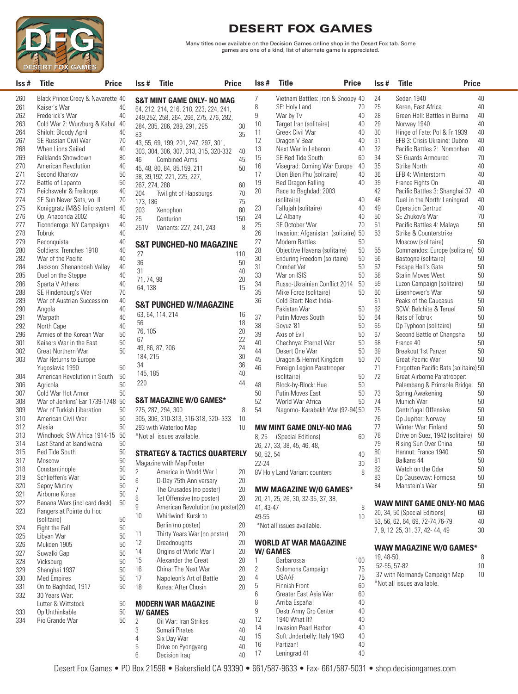

Many titles now available on the Decision Games online shop in the Desert Fox tab. Some games are one of a kind, list of alternate game is appreciated.

| Iss#       | <b>Title</b><br><b>Price</b>                      |          | lss #          | <b>Title</b>                                                           | Price | Iss#           | Title                                             | Price    | Iss#       | <b>Title</b><br><b>Price</b>                   |          |
|------------|---------------------------------------------------|----------|----------------|------------------------------------------------------------------------|-------|----------------|---------------------------------------------------|----------|------------|------------------------------------------------|----------|
| 260        | Black Prince: Crecy & Navarette 40                |          |                |                                                                        |       | $\overline{7}$ | Vietnam Battles: Iron & Snoopy 40                 |          | 24         | Sedan 1940                                     | 40       |
| 261        | Kaiser's War                                      | 40       |                | <b>S&amp;T MINT GAME ONLY- NO MAG</b>                                  |       | 8              | SE: Holy Land                                     | 70       | 25         | Keren, East Africa                             | 40       |
| 262        | Frederick's War                                   | 40       |                | 64, 212, 214, 216, 218, 223, 224, 241,                                 |       | 9              | War by Tv                                         | 40       | 28         | Green Hell: Battles in Burma                   | 40       |
| 263        | Cold War 2: Wurzburg & Kabul                      | 40       |                | 249,252, 258, 264, 266, 275, 276, 282,<br>284, 285, 286, 289, 291, 295 | 30    | 10             | Target Iran (solitaire)                           | 40       | 29         | Norway 1940                                    | 40       |
| 264        | Shiloh: Bloody April                              | 40       | 83             |                                                                        | 35    | 11             | Greek Civil War                                   | 40       | 30         | Hinge of Fate: Pol & Fr 1939                   | 40       |
| 267        | SE Russian Civil War                              | 70       |                | 43, 55, 69, 199, 201, 247, 297, 301,                                   |       | 12             | Dragon V Bear                                     | 40       | 31         | EFB 3: Crisis Ukraine: Dubno                   | 40       |
| 268        | When Lions Sailed                                 | 40       |                | 303, 304, 306, 307, 313, 315, 320-332                                  | 40    | 13             | Next War in Lebanon                               | 40       | 32         | Pacific Battles 2: Nomonhan                    | 40       |
| 269        | Falklands Showdown                                | 80       | 46             | <b>Combined Arms</b>                                                   | 45    | 15             | SE Red Tide South                                 | 60       | 34         | <b>SE Guards Armoured</b>                      | 70       |
| 270        | American Revolution                               | 40       |                | 45, 48, 80, 84, 85, 159, 211                                           | 50    | 16             | Visegrad: Coming War Europe                       | 40       | 35         | <b>Strike North</b>                            | 40       |
| 271        | Second Kharkov                                    | 50       |                | 38, 39, 192, 221, 225, 227,                                            |       | 17             | Dien Bien Phu (solitaire)                         | 40       | 36         | EFB 4: Winterstorm                             | 40       |
| 272        | Battle of Lepanto                                 | 50       | 267, 274, 288  |                                                                        | 60    | 19             | Red Dragon Falling                                | 40       | 39         | France Fights On                               | 40       |
| 273        | Reichswehr & Freikorps                            | 40       | 204            | Twilight of Hapsburgs                                                  | 70    | 20             | Race to Baghdad: 2003                             |          | 42         | Pacific Battles 3: Shanghai 37                 | 40       |
| 274        | SE Sun Never Sets, vol II                         | 70       | 173, 186       |                                                                        | 75    |                | (solitaire)                                       | 40       | 48         | Duel in the North: Leningrad                   | 40       |
| 275        | Koniggratz (M&S folio system)                     | 40       | 203            | Xenophon                                                               | 80    | 23             | Fallujah (solitaire)                              | 40       | 49         | <b>Operation Gertrud</b>                       | 40       |
| 276        | Op. Anaconda 2002                                 | 40       | 25             | Centurion                                                              | 150   | 24             | LZ Albany                                         | 40       | 50         | SE Zhukov's War                                | 70       |
| 277        | Ticonderoga: NY Campaigns                         | 40       | 251V           | Variants: 227, 241, 243                                                | 8     | 25             | SE October War                                    | 70       | 51         | Pacific Battles 4: Malaya                      | 50       |
| 278        | Tobruk                                            | 40       |                |                                                                        |       | 26             | Invasion: Afganistan (solitaire) 50               |          | 53         | Strike & Counterstrike                         |          |
| 279        | Reconquista                                       | 40       |                | <b>S&amp;T PUNCHED-NO MAGAZINE</b>                                     |       | 27             | <b>Modern Battles</b>                             | 50       |            | Moscow (solitaire)                             | 50       |
| 280        | Soldiers: Trenches 1918                           | 40       | 27             |                                                                        | 110   | 28             | Objective Havana (solitaire)                      | 50       | 55         | Commandos: Europe (solitaire) 50               |          |
| 282        | War of the Pacific                                | 40       | 36             |                                                                        | 50    | $30\,$         | Enduring Freedom (solitaire)                      | $50\,$   | 56         | Bastogne (solitaire)                           | 50       |
| 284        | Jackson: Shenandoah Valley                        | 40       | 31             |                                                                        | 40    | 31             | Combat Vet                                        | 50       | 57         | Escape Hell's Gate                             | 50       |
| 285        | Duel on the Steppe                                | 40<br>40 | 71, 74, 98     |                                                                        | 20    | 33             | War on ISIS                                       | 50       | 58         | <b>Stalin Moves West</b>                       | 50       |
| 286<br>288 | Sparta V Athens                                   | 70       | 64, 138        |                                                                        | 15    | 34<br>35       | Russo-Ukrainian Conflict 2014                     | 50<br>50 | 59<br>60   | Luzon Campaign (solitaire)<br>Eisenhower's War | 50<br>50 |
| 289        | SE Hindenburg's War<br>War of Austrian Succession | 40       |                |                                                                        |       | 36             | Mike Force (solitaire)<br>Cold Start: Next India- |          | 61         | Peaks of the Caucasus                          | 50       |
| 290        | Angola                                            | 40       |                | <b>S&amp;T PUNCHED W/MAGAZINE</b>                                      |       |                | Pakistan War                                      | 50       | 62         | SCW: Belchite & Teruel                         | 50       |
| 291        | Warpath                                           | 40       |                | 63, 64, 114, 214                                                       | 16    | 37             | Putin Moves South                                 | 50       | 64         | Rats of Tobruk                                 | 50       |
| 292        | North Cape                                        | 40       | 56             |                                                                        | 18    | 38             | Soyuz '81                                         | 50       | 65         | Op Typhoon (solitaire)                         | 50       |
| 296        | Armies of the Korean War                          | 50       | 76, 105        |                                                                        | 20    | 39             | Axis of Evil                                      | 50       | 67         | Second Battle of Changsha                      | 50       |
| 301        | Kaisers War in the East                           | 50       | 67             |                                                                        | 22    | 40             | Chechnya: Eternal War                             | 50       | 68         | France 40                                      | 50       |
| 302        | Great Northern War                                | 50       |                | 49, 86, 87, 206                                                        | 24    | 44             | Desert One War                                    | 50       | 69         | Breakout 1st Panzer                            | 50       |
| 303        | War Returns to Europe                             |          | 184, 215       |                                                                        | 30    | 45             | Dragon & Hermit Kingdom                           | 50       | 70         | Great Pacific War                              | 50       |
|            | Yugoslavia 1990                                   | 50       | 34             |                                                                        | 36    | 46             | Foreign Legion Paratrooper                        |          | 71         | Forgotten Pacific Bats (solitaire) 50          |          |
| 304        | American Revolution in South                      | 50       | 145, 185       |                                                                        | 40    |                | (solitaire)                                       | 50       | 72         | Great Airborne Paratrooper:                    |          |
| 306        | Agricola                                          | 50       | 220            |                                                                        | 44    | 48             | Block-by-Block: Hue                               | 50       |            | Palembang & Primsole Bridge                    | 50       |
| 307        | Cold War Hot Armor                                | 50       |                |                                                                        |       | 50             | Putin Moves East                                  | 50       | 73         | Spring Awakening                               | 50       |
| 308        | War of Jenkins' Ear 1739-1748                     | 50       |                | <b>S&amp;T MAGAZINE W/O GAMES*</b>                                     |       | 52             | World War Africa                                  | 50       | 74         | Munich War                                     | 50       |
| 309        | War of Turkish Liberation                         | 50       |                | 275, 287, 294, 300                                                     | 8     | 54             | Nagorno- Karabakh War (92-94) 50                  |          | 75         | Centrifugal Offensive                          | 50       |
| 310        | American Civil War                                | 50       |                | 305, 306, 310-313, 316-318, 320-333                                    | 10    |                |                                                   |          | 76         | Op Jupiter: Norway                             | 50       |
| 312        | Alesia                                            | 50       |                | 293 with Waterloo Map                                                  | 10    |                | <b>MW MINT GAME ONLY-NO MAG</b>                   |          | 77         | Winter War: Finland                            | 50       |
| 313        | Windhoek: SW Africa 1914-15                       | 50       |                | *Not all issues available.                                             |       | 8,25           | (Special Editions)                                | 60       | 78         | Drive on Suez, 1942 (solitaire)                | 50       |
| 314        | Last Stand at Isandlwana                          | 50       |                |                                                                        |       |                | 26, 27, 33, 38, 45, 46, 48,                       |          | 79         | Rising Sun Over China                          | 50       |
| 315        | <b>Red Tide South</b>                             | 50       |                | <b>STRATEGY &amp; TACTICS QUARTERLY</b>                                |       | 50, 52, 54     |                                                   | 40       | 80         | Hannut: France 1940                            | 50       |
| 317        | Moscow                                            | 50       |                | Magazine with Map Poster                                               |       | $22 - 24$      |                                                   | 30       | 81         | Balkans 44                                     | 50       |
| 318        | Constantinople                                    | 50       | $\overline{2}$ | America in World War I                                                 | 20    |                | 8V Holy Land Variant counters                     | 8        | 82         | Watch on the Oder                              | 50       |
| 319        | Schlieffen's War                                  | $50\,$   | 6              | D-Day 75th Anniversary                                                 | 20    |                |                                                   |          | 83         | Op Causeway: Formosa                           | 50       |
| 320        | Sepoy Mutiny                                      | 50       | 7              | The Crusades (no poster)                                               | 20    |                | <b>MW MAGAZINE W/O GAMES*</b>                     |          | 84         | Manstein's War                                 | 50       |
| 321<br>322 | Airborne Korea<br>Banana Wars (incl card deck)    | 50<br>50 | 8              | Tet Offensive (no poster)                                              | 20    |                | 20, 21, 25, 26, 30, 32-35, 37, 38,                |          |            |                                                |          |
| 323        | Rangers at Pointe du Hoc                          |          | 9              | American Revolution (no poster) 20                                     |       | 41, 43-47      |                                                   | 8        |            | WAW MINT GAME ONLY-NO MAG                      |          |
|            | (solitaire)                                       | 50       | 10             | Whirlwind: Kursk to                                                    |       | 49-55          |                                                   | 10       |            | 20, 34, 50 (Special Editions)                  | 60       |
| 324        | Fight the Fall                                    | 50       |                | Berlin (no poster)                                                     | 20    |                | *Not all issues available.                        |          |            | 53, 56, 62, 64, 69, 72-74, 76-79               | 40       |
| 325        | Libyan War                                        | 50       | 11             | Thirty Years War (no poster)                                           | 20    |                |                                                   |          |            | 7, 9, 12 25, 31, 37, 42-44, 49                 | 30       |
| 326        | Mukden 1905                                       | 50       | 12             | Dreadnoughts                                                           | 20    |                | <b>WORLD AT WAR MAGAZINE</b>                      |          |            |                                                |          |
| 327        | Suwalki Gap                                       | 50       | 14             | Origins of World War I                                                 | 20    |                | W/GAMES                                           |          |            | WAW MAGAZINE W/0 GAMES*                        |          |
| 328        | Vicksburg                                         | 50       | 15             | Alexander the Great                                                    | 20    | $\mathbf{1}$   | Barbarossa                                        | 100      | 19, 48-50, |                                                | 8        |
| 329        | Shanghai 1937                                     | 50       | 16             | China: The Next War                                                    | 20    | 2              | Solomons Campaign                                 | 75       |            | 52-55, 57-82                                   | 10       |
| 330        | <b>Med Empires</b>                                | 50       | 17             | Napoleon's Art of Battle                                               | 20    | 4              | <b>USAAF</b>                                      | 75       |            | 37 with Normandy Campaign Map                  | 10       |
| 331        | On to Baghdad, 1917                               | 50       | 18             | Korea: After Chosin                                                    | 20    | 5              | Finnish Front                                     | 60       |            | *Not all issues available.                     |          |
| 332        | 30 Years War:                                     |          |                |                                                                        |       | 6              | Greater East Asia War                             | 60       |            |                                                |          |
|            | Lutter & Wittstock                                | 50       |                | <b>MODERN WAR MAGAZINE</b>                                             |       | 8              | Arriba España!                                    | 40       |            |                                                |          |
| 333        | Op Unthinkable                                    | 50       | W/ GAMES       |                                                                        |       | 9              | Destr Army Grp Center                             | 40       |            |                                                |          |
| 334        | Rio Grande War                                    | 50       | $\overline{2}$ | Oil War: Iran Strikes                                                  | 40    | 12             | 1940 What If?                                     | 40       |            |                                                |          |
|            |                                                   |          | 3              | Somali Pirates                                                         | 40    | 14             | Invasion Pearl Harbor                             | 40       |            |                                                |          |
|            |                                                   |          | 4              | Six Day War                                                            | 40    | 15             | Soft Underbelly: Italy 1943                       | 40       |            |                                                |          |
|            |                                                   |          | 5              | Drive on Pyongyang                                                     | 40    | 16             | Partizan!                                         | 40       |            |                                                |          |
|            |                                                   |          | 6              | Decision Iraq                                                          | 40    | 17             | Leningrad 41                                      | 40       |            |                                                |          |